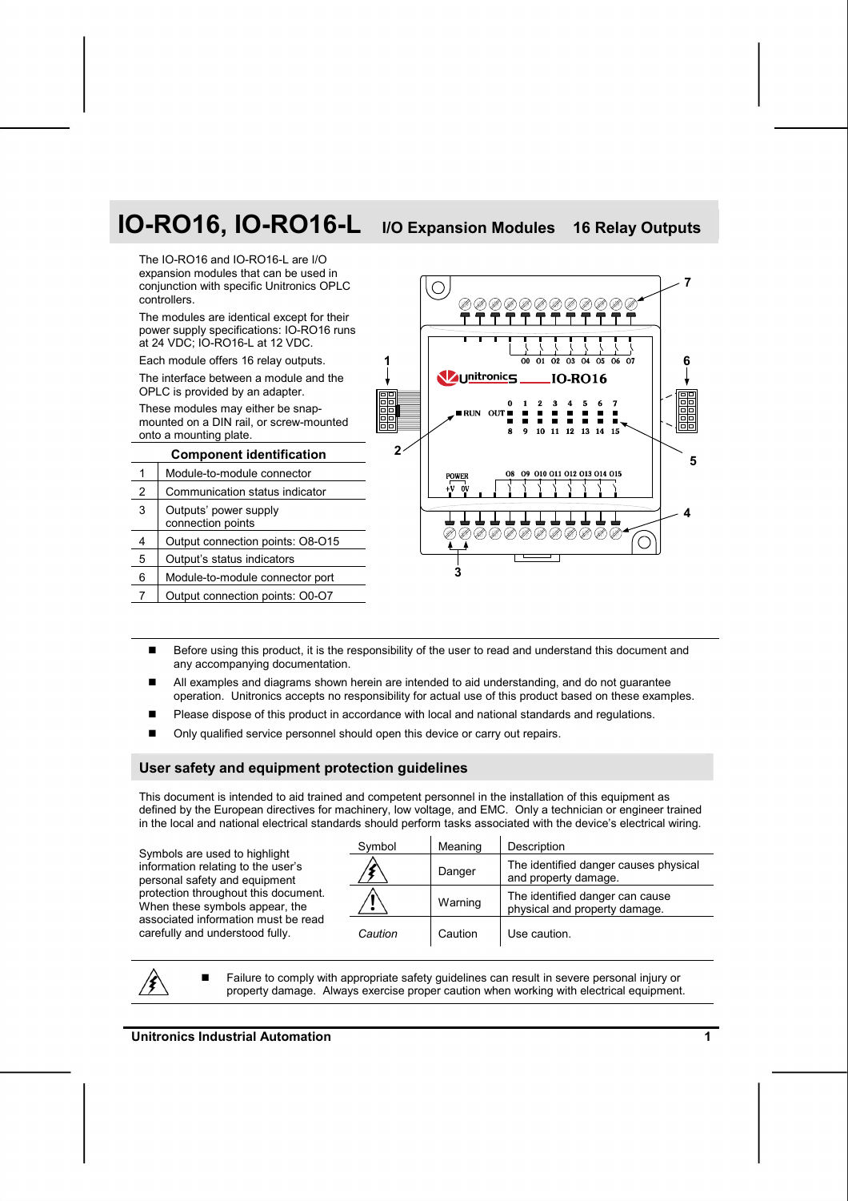# **IO-RO16, IO-RO16-L I/O Expansion Modules 16 Relay Outputs**



- Before using this product, it is the responsibility of the user to read and understand this document and any accompanying documentation.
- All examples and diagrams shown herein are intended to aid understanding, and do not guarantee operation. Unitronics accepts no responsibility for actual use of this product based on these examples.
- Please dispose of this product in accordance with local and national standards and regulations.
- Only qualified service personnel should open this device or carry out repairs.

#### **User safety and equipment protection guidelines**

This document is intended to aid trained and competent personnel in the installation of this equipment as defined by the European directives for machinery, low voltage, and EMC. Only a technician or engineer trained in the local and national electrical standards should perform tasks associated with the device's electrical wiring.

Symbols are used to highlight information relating to the user's personal safety and equipment protection throughout this document. When these symbols appear, the associated information must be read carefully and understood fully.

| Symbol  | Meaning | Description                                                      |
|---------|---------|------------------------------------------------------------------|
|         | Danger  | The identified danger causes physical<br>and property damage.    |
|         | Warning | The identified danger can cause<br>physical and property damage. |
| Caution | Caution | Use caution.                                                     |

14

 Failure to comply with appropriate safety guidelines can result in severe personal injury or property damage. Always exercise proper caution when working with electrical equipment.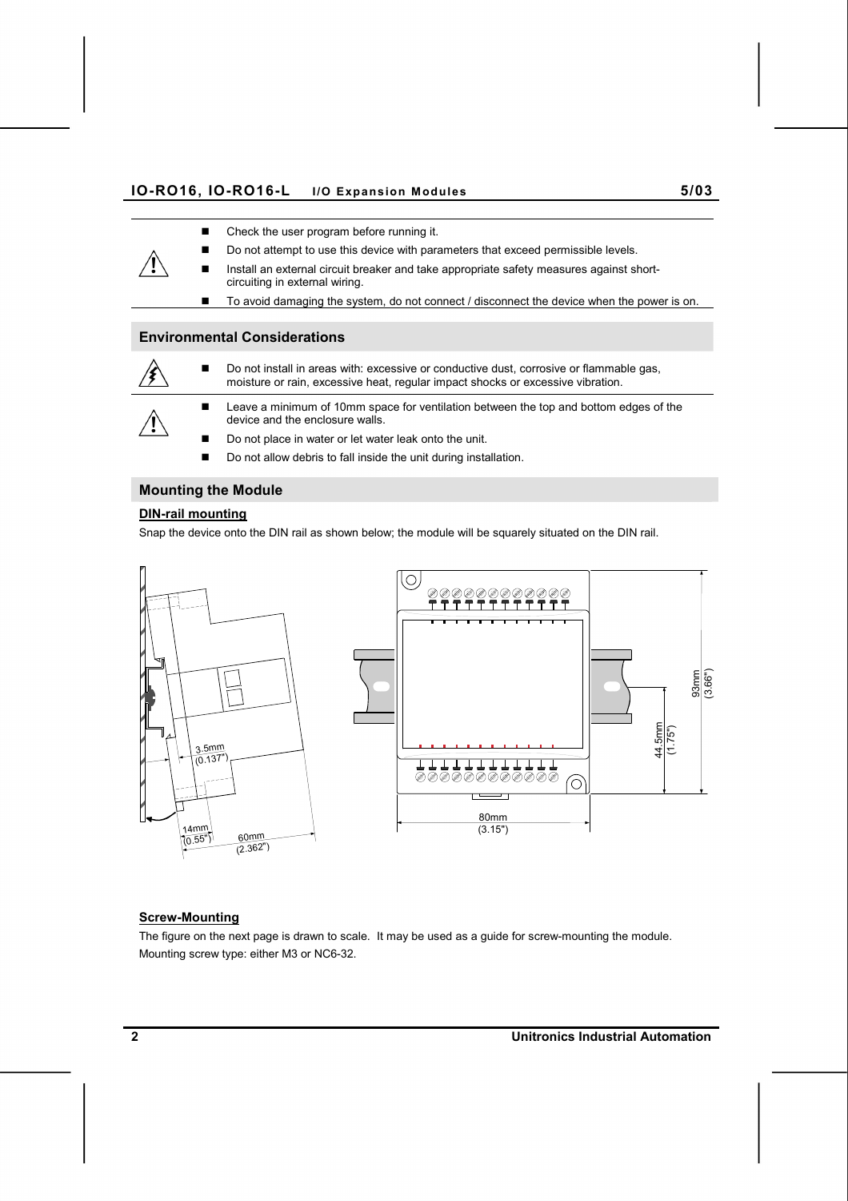#### **IO-RO16, IO-RO16-L I/O Expansion Modules 5/03**

- Check the user program before running it.
- Do not attempt to use this device with parameters that exceed permissible levels.
- Install an external circuit breaker and take appropriate safety measures against shortcircuiting in external wiring.
	- To avoid damaging the system, do not connect / disconnect the device when the power is on.

# **Environmental Considerations**



 Do not install in areas with: excessive or conductive dust, corrosive or flammable gas, moisture or rain, excessive heat, regular impact shocks or excessive vibration.



- Leave a minimum of 10mm space for ventilation between the top and bottom edges of the device and the enclosure walls.
- Do not place in water or let water leak onto the unit.
- Do not allow debris to fall inside the unit during installation.

# **Mounting the Module**

# **DIN-rail mounting**

Snap the device onto the DIN rail as shown below; the module will be squarely situated on the DIN rail.



# **Screw-Mounting**

The figure on the next page is drawn to scale. It may be used as a guide for screw-mounting the module. Mounting screw type: either M3 or NC6-32.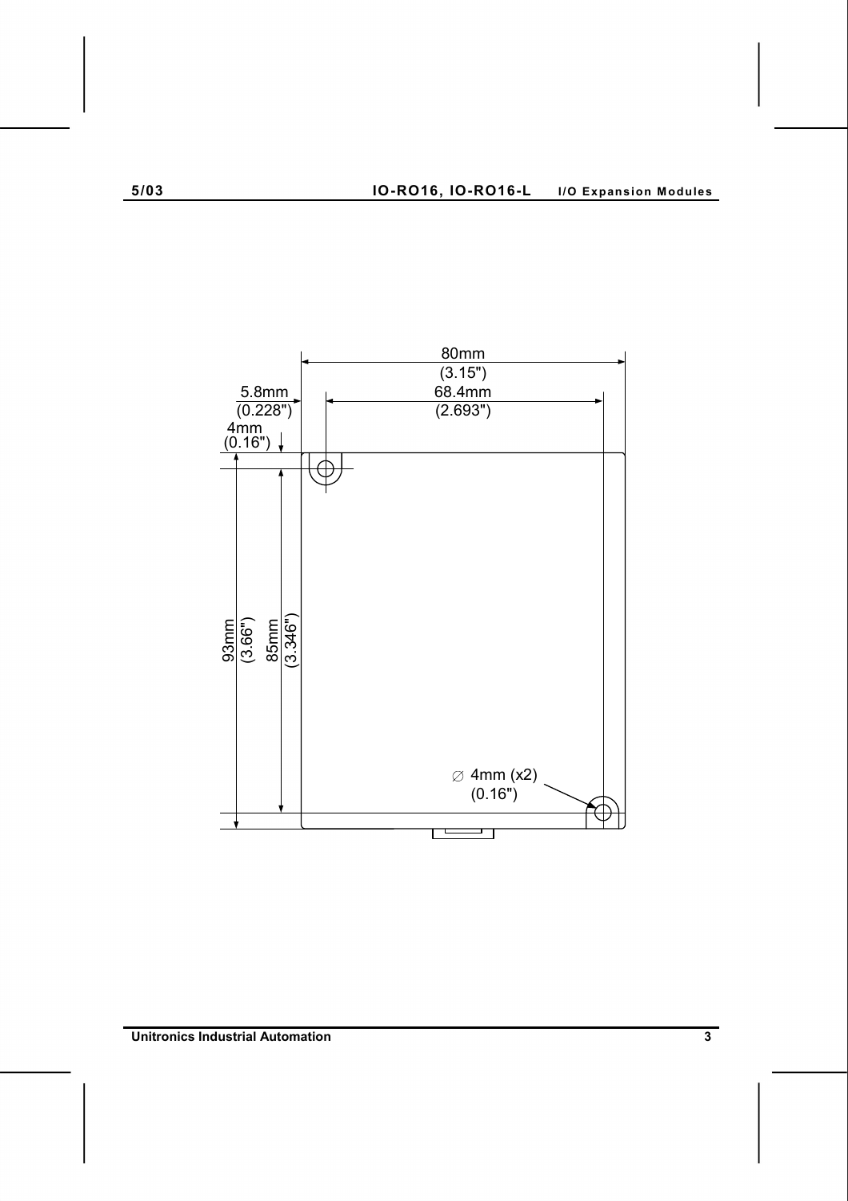

**Unitronics Industrial Automation 3 <b>3**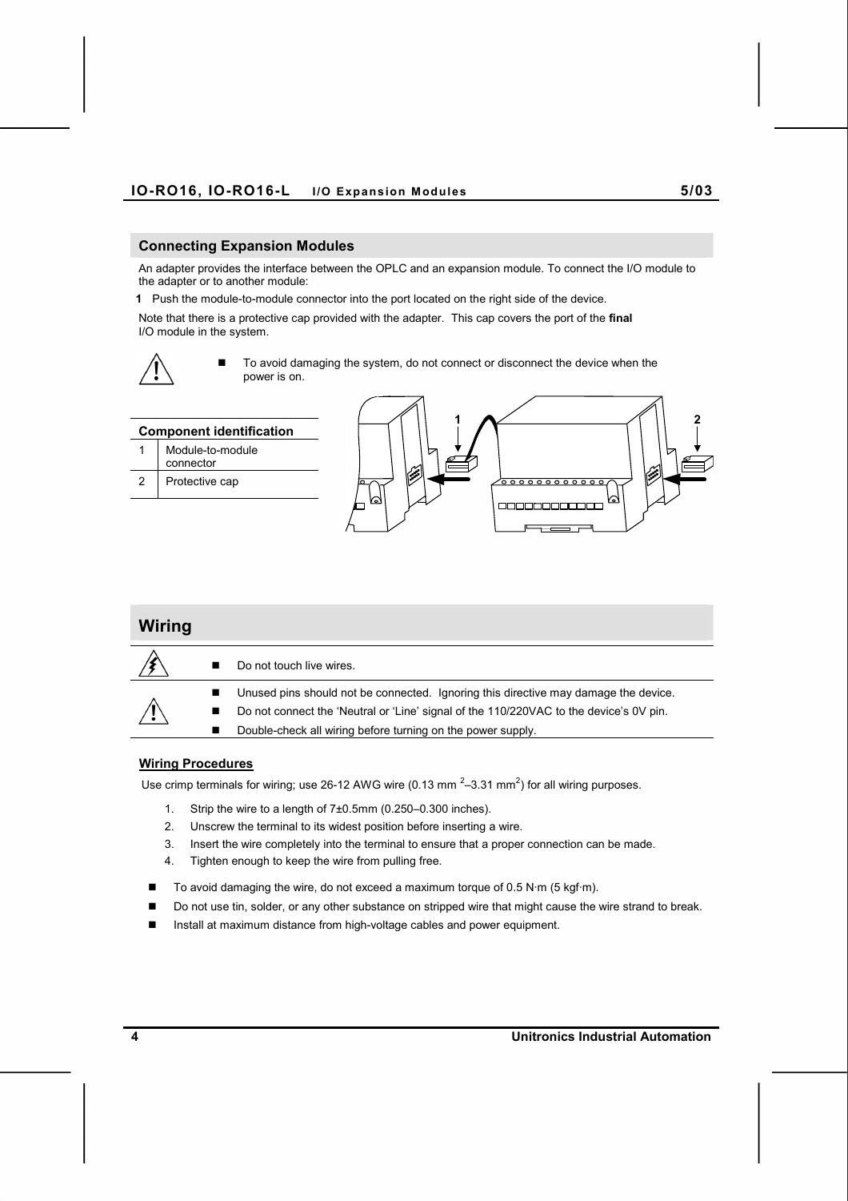## **Connecting Expansion Modules**

An adapter provides the interface between the OPLC and an expansion module. To connect the I/O module to the adapter or to another module:

**1** Push the module-to-module connector into the port located on the right side of the device.

Note that there is a protective cap provided with the adapter. This cap covers the port of the **final**  I/O module in the system.



■ To avoid damaging the system, do not connect or disconnect the device when the power is on.

|   | <b>Component identification</b> |                                                |  |
|---|---------------------------------|------------------------------------------------|--|
|   | Module-to-module<br>connector   | ▽                                              |  |
| 2 | Protective cap                  | $\mathbb{R}^n$<br>$\sigma$ oooooooooo $\sigma$ |  |
|   |                                 | ⊠<br>V6N                                       |  |

| Wiring |   |                                                                                        |
|--------|---|----------------------------------------------------------------------------------------|
|        |   | Do not touch live wires.                                                               |
|        |   | Unused pins should not be connected. Ignoring this directive may damage the device.    |
|        | ■ | Do not connect the 'Neutral or 'Line' signal of the 110/220VAC to the device's 0V pin. |
|        |   | Double-check all wiring before turning on the power supply.                            |

# **Wiring Procedures**

Use crimp terminals for wiring; use 26-12 AWG wire (0.13 mm<sup>2</sup>-3.31 mm<sup>2</sup>) for all wiring purposes.

- 1. Strip the wire to a length of 7±0.5mm (0.250–0.300 inches).
- 2. Unscrew the terminal to its widest position before inserting a wire.
- 3. Insert the wire completely into the terminal to ensure that a proper connection can be made.
- 4. Tighten enough to keep the wire from pulling free.
- To avoid damaging the wire, do not exceed a maximum torque of 0.5 N·m (5 kgf·m).
- Do not use tin, solder, or any other substance on stripped wire that might cause the wire strand to break.
- Install at maximum distance from high-voltage cables and power equipment.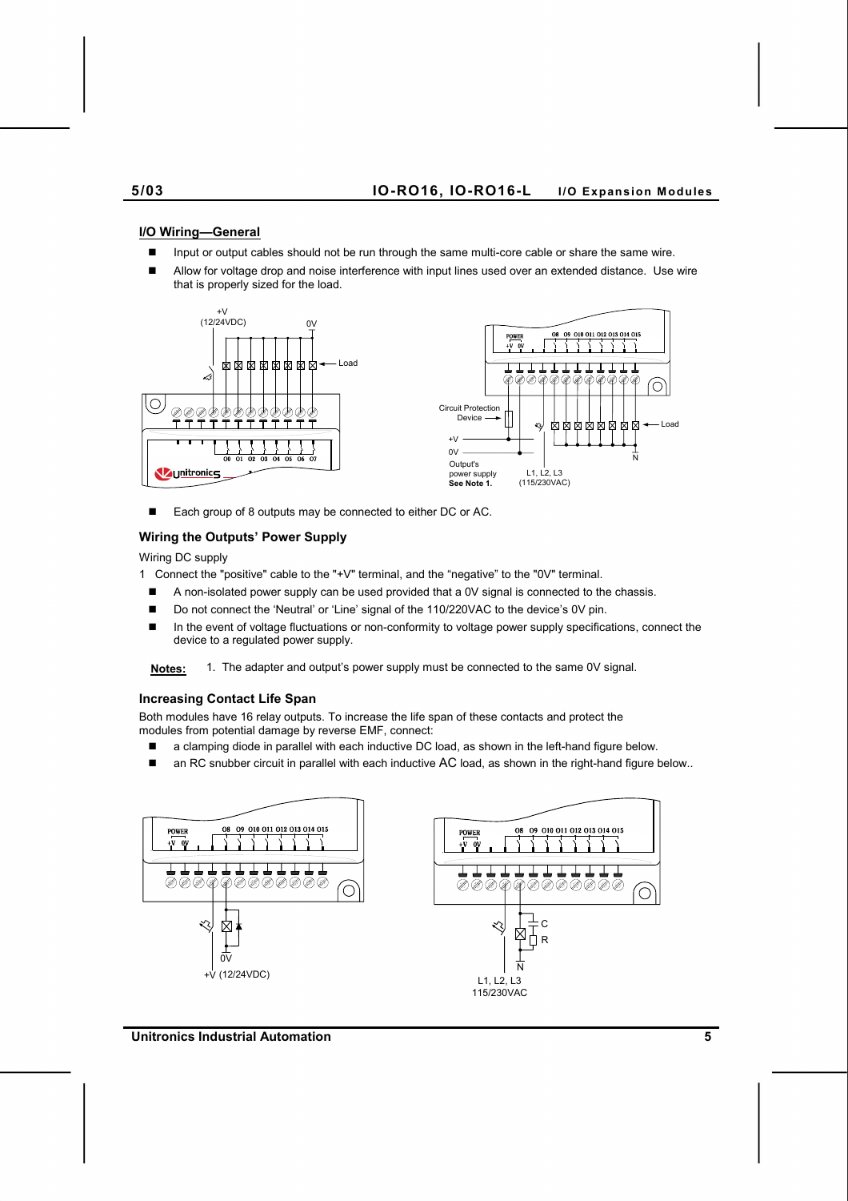#### **5/03 IO-RO16, IO-RO16-L I/O Expansion Modules**

#### **I/O Wiring—General**

- Input or output cables should not be run through the same multi-core cable or share the same wire.
- Allow for voltage drop and noise interference with input lines used over an extended distance. Use wire that is properly sized for the load.



■ Each group of 8 outputs may be connected to either DC or AC.

### **Wiring the Outputs' Power Supply**

Wiring DC supply

1 Connect the "positive" cable to the "+V" terminal, and the "negative" to the "0V" terminal.

- A non-isolated power supply can be used provided that a 0V signal is connected to the chassis.
- Do not connect the 'Neutral' or 'Line' signal of the 110/220VAC to the device's 0V pin.
- In the event of voltage fluctuations or non-conformity to voltage power supply specifications, connect the device to a regulated power supply.

**Notes:** 1. The adapter and output's power supply must be connected to the same 0V signal.

#### **Increasing Contact Life Span**

Both modules have 16 relay outputs. To increase the life span of these contacts and protect the modules from potential damage by reverse EMF, connect:

- a clamping diode in parallel with each inductive DC load, as shown in the left-hand figure below.
- an RC snubber circuit in parallel with each inductive AC load, as shown in the right-hand figure below..



**Unitronics Industrial Automation 5**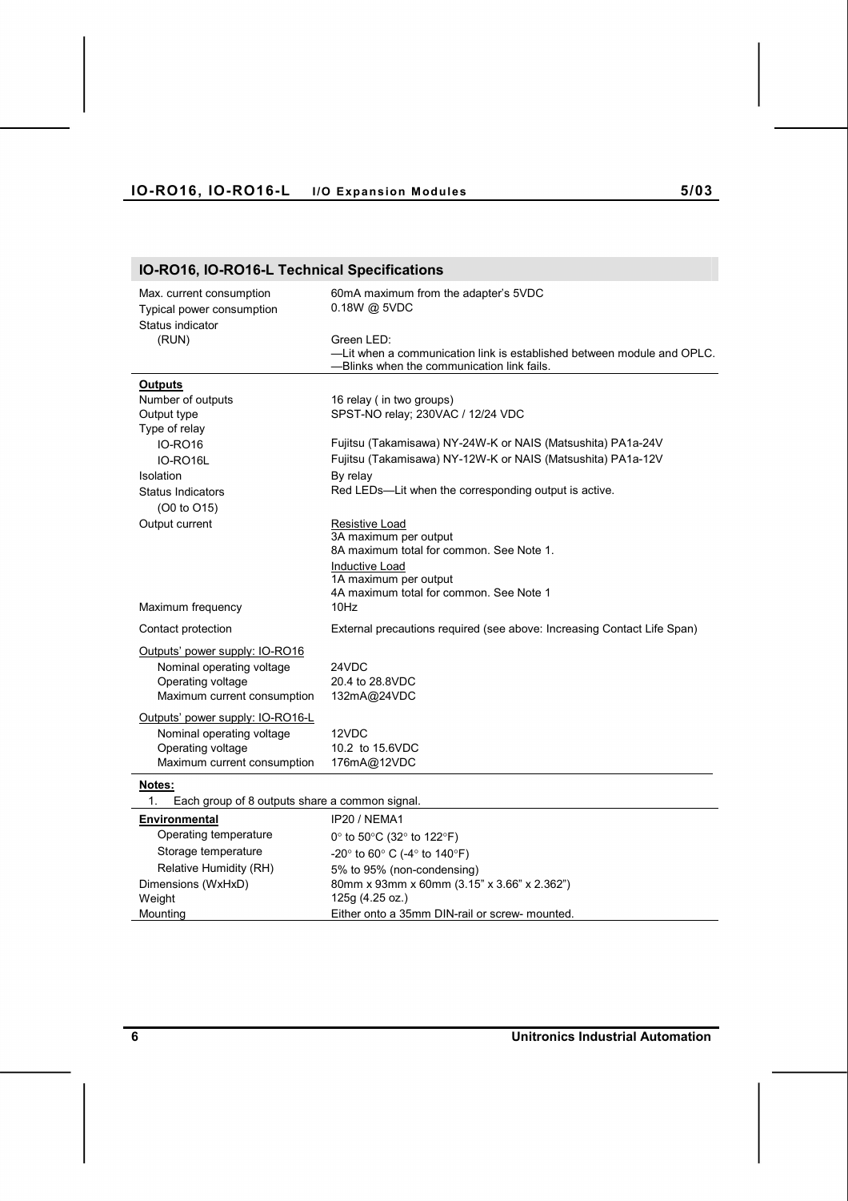# **IO-RO16, IO-RO16-L Technical Specifications**

| Max. current consumption<br>Typical power consumption<br>Status indicator | 60mA maximum from the adapter's 5VDC<br>0.18W @ 5VDC                                                                               |  |  |  |
|---------------------------------------------------------------------------|------------------------------------------------------------------------------------------------------------------------------------|--|--|--|
| (RUN)                                                                     | Green LED:<br>-Lit when a communication link is established between module and OPLC.<br>-Blinks when the communication link fails. |  |  |  |
| <b>Outputs</b>                                                            |                                                                                                                                    |  |  |  |
| Number of outputs                                                         | 16 relay (in two groups)                                                                                                           |  |  |  |
| Output type                                                               | SPST-NO relay; 230VAC / 12/24 VDC                                                                                                  |  |  |  |
| Type of relay                                                             |                                                                                                                                    |  |  |  |
| <b>IO-RO16</b>                                                            | Fujitsu (Takamisawa) NY-24W-K or NAIS (Matsushita) PA1a-24V                                                                        |  |  |  |
| IO-RO16L                                                                  | Fujitsu (Takamisawa) NY-12W-K or NAIS (Matsushita) PA1a-12V                                                                        |  |  |  |
| Isolation                                                                 | By relay                                                                                                                           |  |  |  |
| <b>Status Indicators</b>                                                  | Red LEDs-Lit when the corresponding output is active.                                                                              |  |  |  |
| (O0 to O15)                                                               |                                                                                                                                    |  |  |  |
| Output current                                                            | Resistive Load                                                                                                                     |  |  |  |
|                                                                           | 3A maximum per output<br>8A maximum total for common. See Note 1.                                                                  |  |  |  |
|                                                                           | Inductive Load                                                                                                                     |  |  |  |
|                                                                           | 1A maximum per output                                                                                                              |  |  |  |
|                                                                           | 4A maximum total for common. See Note 1                                                                                            |  |  |  |
| Maximum frequency                                                         | 10Hz                                                                                                                               |  |  |  |
| Contact protection                                                        | External precautions required (see above: Increasing Contact Life Span)                                                            |  |  |  |
| Outputs' power supply: IO-RO16                                            |                                                                                                                                    |  |  |  |
| Nominal operating voltage                                                 | 24VDC                                                                                                                              |  |  |  |
| Operating voltage                                                         | 20.4 to 28.8VDC                                                                                                                    |  |  |  |
| Maximum current consumption                                               | 132mA@24VDC                                                                                                                        |  |  |  |
| Outputs' power supply: IO-RO16-L                                          |                                                                                                                                    |  |  |  |
| Nominal operating voltage                                                 | 12VDC                                                                                                                              |  |  |  |
| Operating voltage                                                         | 10.2 to 15.6VDC                                                                                                                    |  |  |  |
| Maximum current consumption                                               | 176mA@12VDC                                                                                                                        |  |  |  |
| Notes:                                                                    |                                                                                                                                    |  |  |  |
| $\mathbf{1}$ .<br>Each group of 8 outputs share a common signal.          |                                                                                                                                    |  |  |  |
| Environmental                                                             | IP20 / NEMA1                                                                                                                       |  |  |  |
| Operating temperature                                                     | 0° to 50°C (32° to 122°F)                                                                                                          |  |  |  |
| Storage temperature                                                       | $-20^{\circ}$ to 60° C ( $-4^{\circ}$ to 140°F)                                                                                    |  |  |  |
| Relative Humidity (RH)                                                    | 5% to 95% (non-condensing)                                                                                                         |  |  |  |
| Dimensions (WxHxD)                                                        | 80mm x 93mm x 60mm (3.15" x 3.66" x 2.362")                                                                                        |  |  |  |
| Weight                                                                    | 125g (4.25 oz.)                                                                                                                    |  |  |  |
| Mounting                                                                  | Either onto a 35mm DIN-rail or screw- mounted.                                                                                     |  |  |  |

**6 Unitronics Industrial Automation**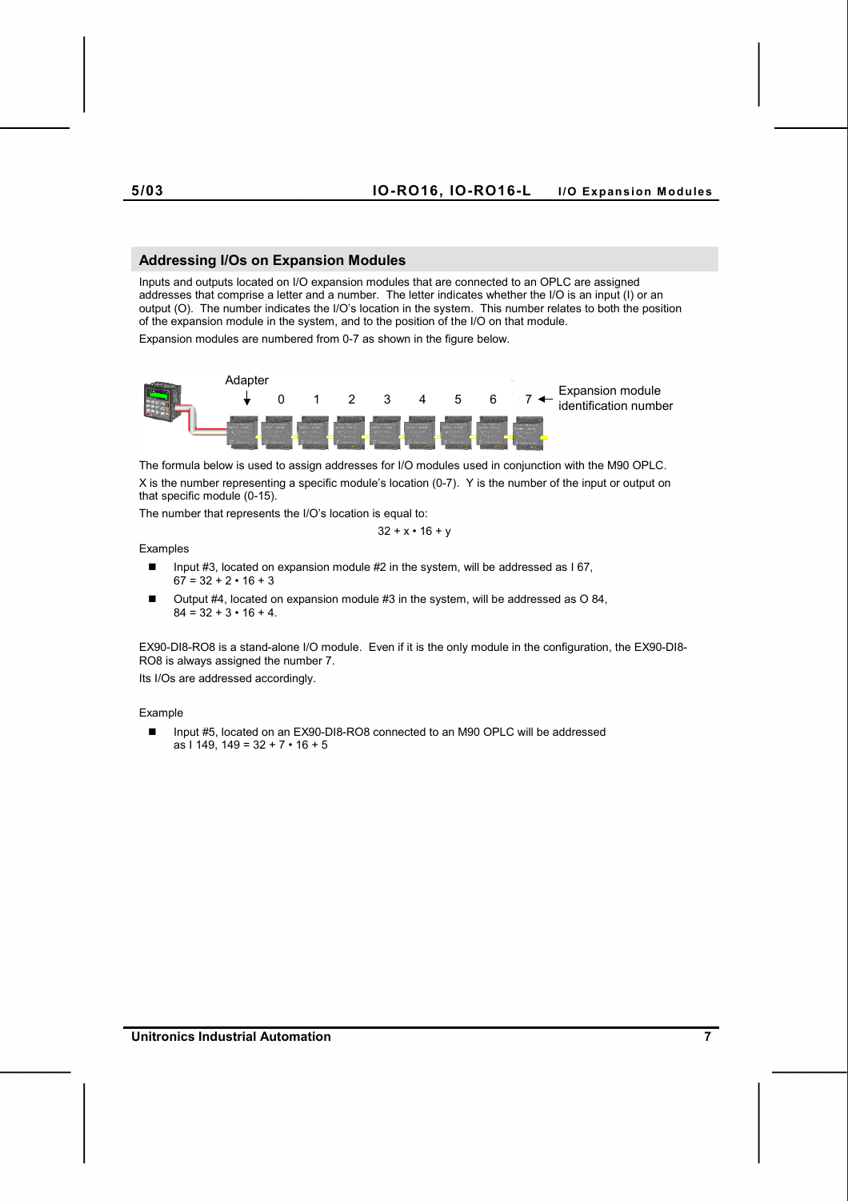#### **5/03 IO-RO16, IO-RO16-L I/O Expansion Modules**

#### **Addressing I/Os on Expansion Modules**

Inputs and outputs located on I/O expansion modules that are connected to an OPLC are assigned addresses that comprise a letter and a number. The letter indicates whether the I/O is an input (I) or an output (O). The number indicates the I/O's location in the system. This number relates to both the position of the expansion module in the system, and to the position of the I/O on that module. Expansion modules are numbered from 0-7 as shown in the figure below.



The formula below is used to assign addresses for I/O modules used in conjunction with the M90 OPLC. X is the number representing a specific module's location (0-7). Y is the number of the input or output on that specific module (0-15).

The number that represents the I/O's location is equal to:

$$
32 + x \cdot 16 + y
$$

Examples

- Input #3, located on expansion module #2 in the system, will be addressed as I 67,  $67 = 32 + 2 \cdot 16 + 3$
- Output #4, located on expansion module #3 in the system, will be addressed as O 84,  $84 = 32 + 3 \cdot 16 + 4$ .

EX90-DI8-RO8 is a stand-alone I/O module. Even if it is the only module in the configuration, the EX90-DI8- RO8 is always assigned the number 7.

Its I/Os are addressed accordingly.

#### Example

■ Input #5, located on an EX90-DI8-RO8 connected to an M90 OPLC will be addressed as I 149, 149 = 32 + 7 • 16 + 5